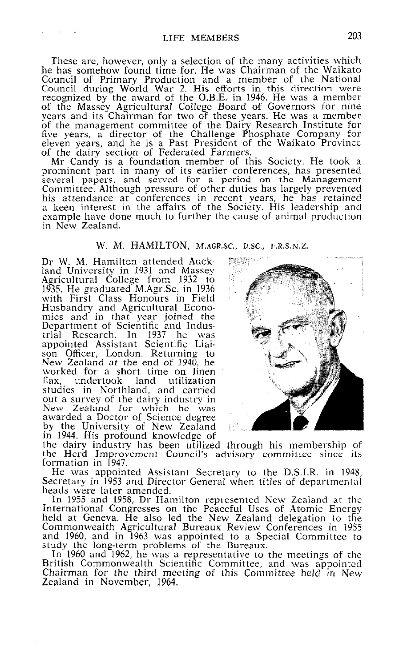These are, however, only a selection of the many activities which he has somehow found time for. He was Chairman of the Waikato Council of Primary Production and a member of the Nation Council during World War 2. His efforts in this direction were recognized by the award of the O.B.E. in 1946. He was a membe of the Massey Agricultural College Board of Governors for nine years and its Chairman for two of these years. He was a member of the management committee of the Dairv Research Institute for five years, g director of the Challenge Phosphate Company for eleven years, and he is a Past President of the Waikato Provinc of the dairy section of Federated Farmers.

Mr Candv is a foundation member of this Societv. He took a prominent 'part in many of its earlier conferences, has presented several papers, and served for a period on the Management Committee. Although pressure of other duties has largely prevented his attendance at conferences in recent years, he has retained a keen interest in the affairs of the Society. His leadership and example have done much to further the cause of animal producti in New Zealand

## W. M. HAMILTON, **M.AGR.SC., D.SC., F.R.S.N.Z.**

Dr W. M. Hamilton attended Auckland University in 1931 and Massey Agricultural College from 1932 to 1935. He graduated M.Agr.Sc. in 1936 with First Class Honours in Field Husbandry and Agricultural Econ mics and in that year joined the Department of Scientific and Indu trial Research. In 1937 he was appointed Assistant Scientific Liaison Officer, London. Returning to New Zealand at the end of 1940, he worked for a short time on linen flax, undertook land utilization studies in Northland, and carried out a survey of the dairy industry in New Zealand for which he was awarded a Doctor of Science degre by the University of New Zealan in 1944. His profound knowledge of



the dairy industry has been utilize the dairy industry has been utilized thro<br>the Herd Improvement Council's adviso formation in 1947. dviso: lgh his membership of 'y committee since its

He was appointed Assistant Secretary to the D.S.I.R. in 1948, Secretary in 1953 and Director General when titles of departmental heads were later amended.

In 1955 and 1958, Dr Hamilton represented New Zealand at the International Congresses on the Peaceful Uses of Atomic Energy held at Geneva. He also led the New Zealand delegation to the Commonwealth Agricultural Bureaux Review Conferences in 1955 and 1960, and in 1963 was appointed to a Special Committee to study the long-term problems of the Bureau

In 1960 and 1962, he was a representative to the meetings of the British Commonwealth Scientific Committee, and was appointed Chairman for the third meeting of this Committee held in New Zealand in November, 1964.